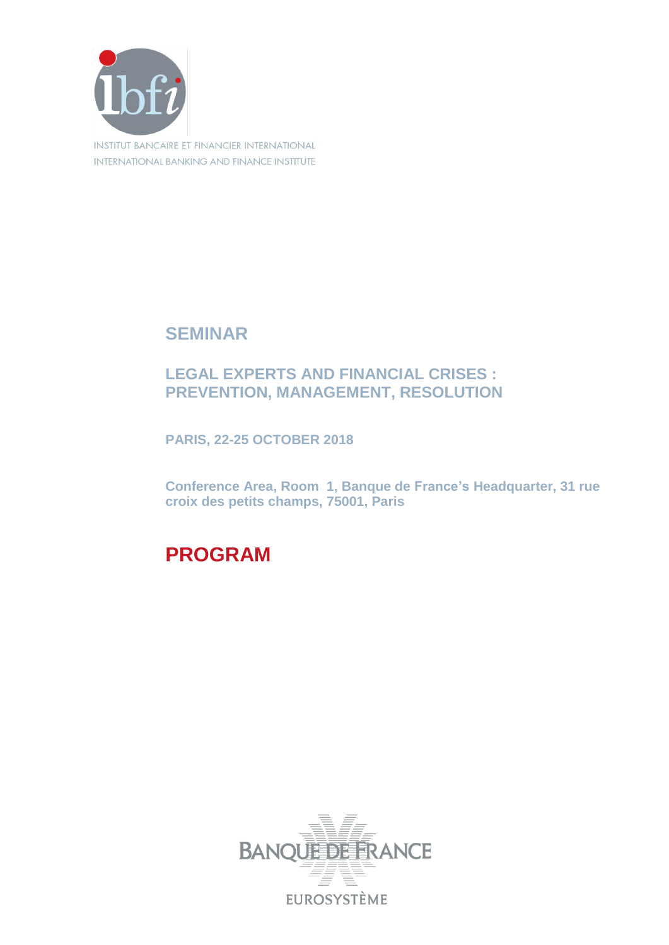

**SEMINAR**

## **LEGAL EXPERTS AND FINANCIAL CRISES : PREVENTION, MANAGEMENT, RESOLUTION**

**PARIS, 22-25 OCTOBER 2018**

**Conference Area, Room 1, Banque de France's Headquarter, 31 rue croix des petits champs, 75001, Paris**

**PROGRAM**

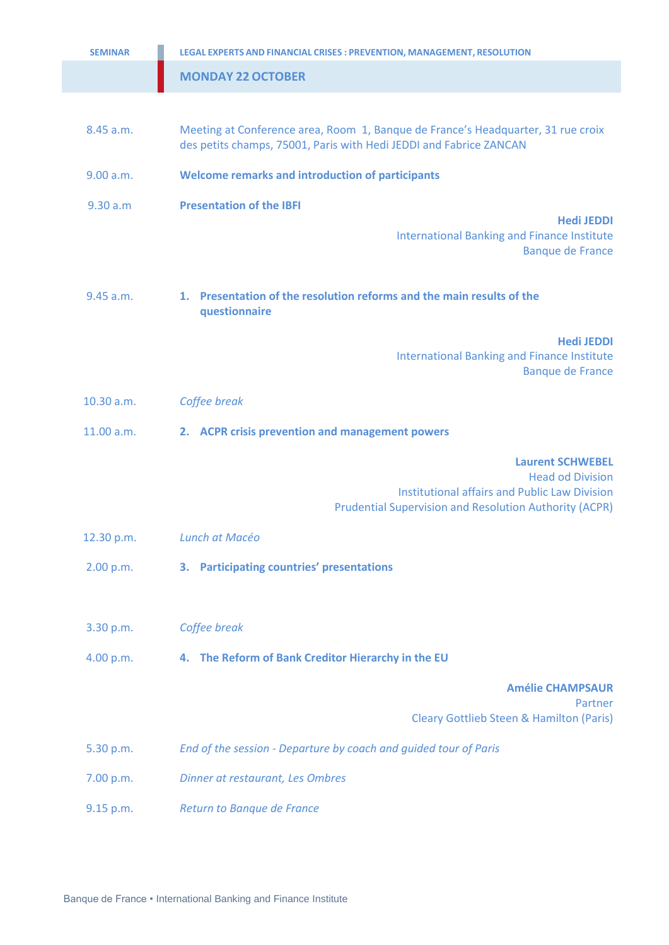| <b>SEMINAR</b> | LEGAL EXPERTS AND FINANCIAL CRISES : PREVENTION, MANAGEMENT, RESOLUTION                                                                                |
|----------------|--------------------------------------------------------------------------------------------------------------------------------------------------------|
|                | <b>MONDAY 22 OCTOBER</b>                                                                                                                               |
|                |                                                                                                                                                        |
| 8.45 a.m.      | Meeting at Conference area, Room 1, Banque de France's Headquarter, 31 rue croix<br>des petits champs, 75001, Paris with Hedi JEDDI and Fabrice ZANCAN |
| 9.00 a.m.      | <b>Welcome remarks and introduction of participants</b>                                                                                                |
| 9.30 a.m       | <b>Presentation of the IBFI</b>                                                                                                                        |
|                | <b>Hedi JEDDI</b><br><b>International Banking and Finance Institute</b><br><b>Banque de France</b>                                                     |
| 9.45 a.m.      | 1. Presentation of the resolution reforms and the main results of the<br>questionnaire                                                                 |
|                | <b>Hedi JEDDI</b><br><b>International Banking and Finance Institute</b><br><b>Banque de France</b>                                                     |
| 10.30 a.m.     | Coffee break                                                                                                                                           |
| 11.00 a.m.     | 2. ACPR crisis prevention and management powers                                                                                                        |
|                | <b>Laurent SCHWEBEL</b>                                                                                                                                |
|                | <b>Head od Division</b><br><b>Institutional affairs and Public Law Division</b><br><b>Prudential Supervision and Resolution Authority (ACPR)</b>       |
| 12.30 p.m.     | Lunch at Macéo                                                                                                                                         |
| 2.00 p.m.      | 3. Participating countries' presentations                                                                                                              |
|                |                                                                                                                                                        |
| 3.30 p.m.      | Coffee break                                                                                                                                           |
| 4.00 p.m.      | 4. The Reform of Bank Creditor Hierarchy in the EU                                                                                                     |
|                | <b>Amélie CHAMPSAUR</b><br>Partner                                                                                                                     |
|                | <b>Cleary Gottlieb Steen &amp; Hamilton (Paris)</b>                                                                                                    |
| 5.30 p.m.      | End of the session - Departure by coach and guided tour of Paris                                                                                       |
| 7.00 p.m.      | Dinner at restaurant, Les Ombres                                                                                                                       |
| 9.15 p.m.      | Return to Banque de France                                                                                                                             |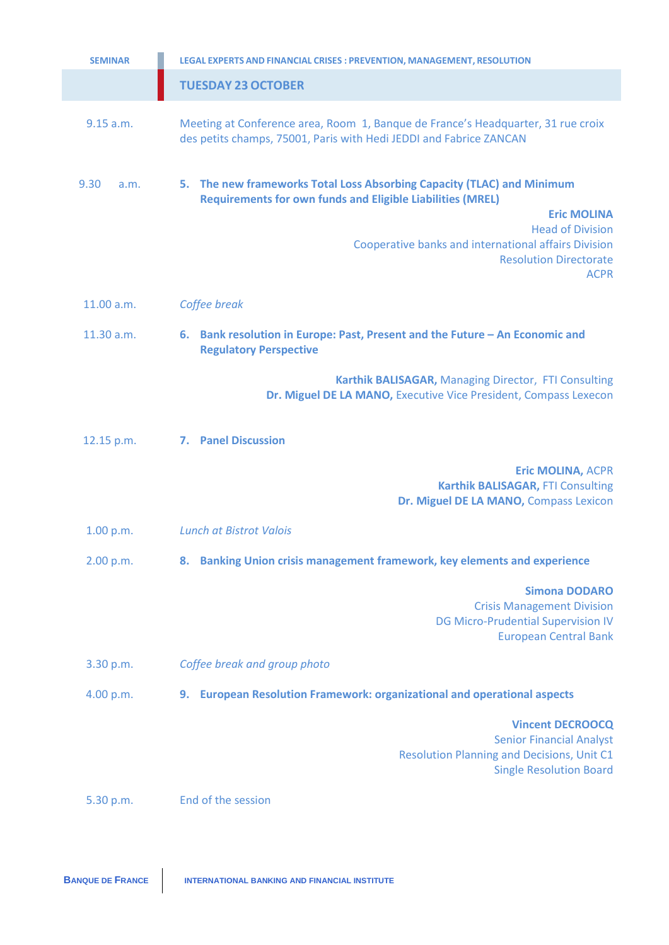| <b>SEMINAR</b> | LEGAL EXPERTS AND FINANCIAL CRISES : PREVENTION, MANAGEMENT, RESOLUTION                                                                                                                                                                                                                              |
|----------------|------------------------------------------------------------------------------------------------------------------------------------------------------------------------------------------------------------------------------------------------------------------------------------------------------|
|                | <b>TUESDAY 23 OCTOBER</b>                                                                                                                                                                                                                                                                            |
| 9.15 a.m.      | Meeting at Conference area, Room 1, Banque de France's Headquarter, 31 rue croix<br>des petits champs, 75001, Paris with Hedi JEDDI and Fabrice ZANCAN                                                                                                                                               |
| 9.30<br>a.m.   | 5. The new frameworks Total Loss Absorbing Capacity (TLAC) and Minimum<br><b>Requirements for own funds and Eligible Liabilities (MREL)</b><br><b>Eric MOLINA</b><br><b>Head of Division</b><br>Cooperative banks and international affairs Division<br><b>Resolution Directorate</b><br><b>ACPR</b> |
| 11.00 a.m.     | Coffee break                                                                                                                                                                                                                                                                                         |
| 11.30 a.m.     | 6. Bank resolution in Europe: Past, Present and the Future - An Economic and<br><b>Regulatory Perspective</b>                                                                                                                                                                                        |
|                | Karthik BALISAGAR, Managing Director, FTI Consulting<br>Dr. Miguel DE LA MANO, Executive Vice President, Compass Lexecon                                                                                                                                                                             |
| 12.15 p.m.     | <b>7. Panel Discussion</b>                                                                                                                                                                                                                                                                           |
|                | <b>Eric MOLINA, ACPR</b><br>Karthik BALISAGAR, FTI Consulting<br>Dr. Miguel DE LA MANO, Compass Lexicon                                                                                                                                                                                              |
| 1.00 p.m.      | <b>Lunch at Bistrot Valois</b>                                                                                                                                                                                                                                                                       |
| 2.00 p.m.      | 8. Banking Union crisis management framework, key elements and experience                                                                                                                                                                                                                            |
|                | <b>Simona DODARO</b><br><b>Crisis Management Division</b><br><b>DG Micro-Prudential Supervision IV</b><br><b>European Central Bank</b>                                                                                                                                                               |
| 3.30 p.m.      | Coffee break and group photo                                                                                                                                                                                                                                                                         |
| 4.00 p.m.      | 9. European Resolution Framework: organizational and operational aspects                                                                                                                                                                                                                             |
|                | <b>Vincent DECROOCQ</b><br><b>Senior Financial Analyst</b><br><b>Resolution Planning and Decisions, Unit C1</b><br><b>Single Resolution Board</b>                                                                                                                                                    |
| 5.30 p.m.      | End of the session                                                                                                                                                                                                                                                                                   |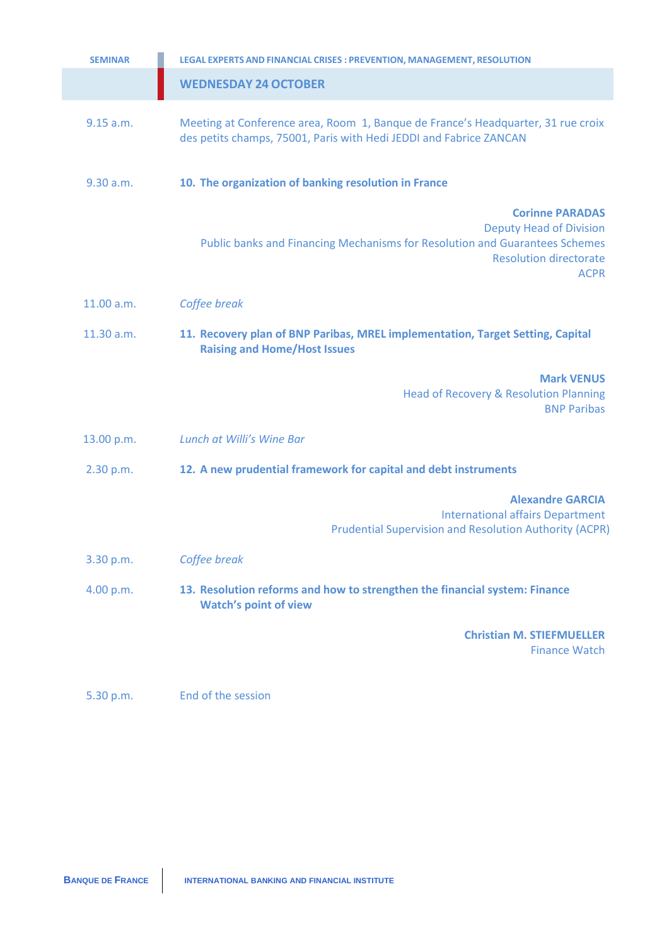| <b>SEMINAR</b> | LEGAL EXPERTS AND FINANCIAL CRISES : PREVENTION, MANAGEMENT, RESOLUTION                                                                                                                 |
|----------------|-----------------------------------------------------------------------------------------------------------------------------------------------------------------------------------------|
|                | <b>WEDNESDAY 24 OCTOBER</b>                                                                                                                                                             |
| 9.15 a.m.      | Meeting at Conference area, Room 1, Banque de France's Headquarter, 31 rue croix<br>des petits champs, 75001, Paris with Hedi JEDDI and Fabrice ZANCAN                                  |
| 9.30 a.m.      | 10. The organization of banking resolution in France                                                                                                                                    |
|                | <b>Corinne PARADAS</b><br><b>Deputy Head of Division</b><br>Public banks and Financing Mechanisms for Resolution and Guarantees Schemes<br><b>Resolution directorate</b><br><b>ACPR</b> |
| 11.00 a.m.     | Coffee break                                                                                                                                                                            |
| 11.30 a.m.     | 11. Recovery plan of BNP Paribas, MREL implementation, Target Setting, Capital<br><b>Raising and Home/Host Issues</b>                                                                   |
|                | <b>Mark VENUS</b><br><b>Head of Recovery &amp; Resolution Planning</b><br><b>BNP Paribas</b>                                                                                            |
| 13.00 p.m.     | Lunch at Willi's Wine Bar                                                                                                                                                               |
| 2.30 p.m.      | 12. A new prudential framework for capital and debt instruments                                                                                                                         |
|                | <b>Alexandre GARCIA</b><br><b>International affairs Department</b><br><b>Prudential Supervision and Resolution Authority (ACPR)</b>                                                     |
| 3.30 p.m.      | Coffee break                                                                                                                                                                            |
| 4.00 p.m.      | 13. Resolution reforms and how to strengthen the financial system: Finance<br><b>Watch's point of view</b>                                                                              |
|                | <b>Christian M. STIEFMUELLER</b><br><b>Finance Watch</b>                                                                                                                                |

5.30 p.m. End of the session